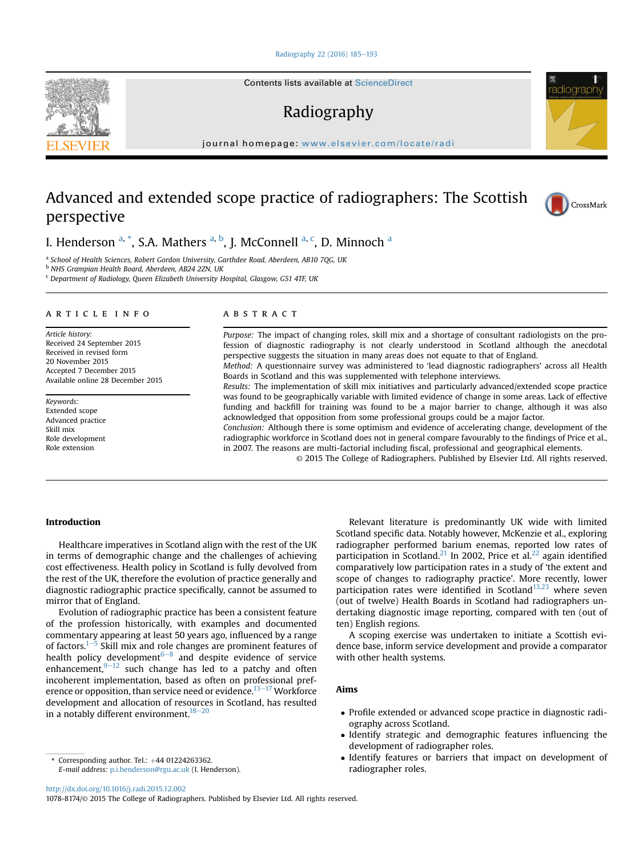## [Radiography 22 \(2016\) 185](http://dx.doi.org/10.1016/j.radi.2015.12.002)-[193](http://dx.doi.org/10.1016/j.radi.2015.12.002)

Contents lists available at [ScienceDirect](www.sciencedirect.com/science/journal/10788174)

# Radiography

journal homepage: [www.elsevier.com/locate/radi](http://www.elsevier.com/locate/radi)

# Advanced and extended scope practice of radiographers: The Scottish perspective



I. Henderson <sup>a, \*</sup>, S.A. Mathers <sup>a, b</sup>, J. McConnell <sup>a, c</sup>, D. Minnoch <sup>a</sup>

<sup>a</sup> School of Health Sciences, Robert Gordon University, Garthdee Road, Aberdeen, AB10 7QG, UK

<sup>b</sup> NHS Grampian Health Board, Aberdeen, AB24 2ZN, UK

<sup>c</sup> Department of Radiology, Queen Elizabeth University Hospital, Glasgow, G51 4TF, UK

#### article info

Article history: Received 24 September 2015 Received in revised form 20 November 2015 Accepted 7 December 2015 Available online 28 December 2015

Keywords: Extended scope Advanced practice Skill mix Role development Role extension

## **ABSTRACT**

Purpose: The impact of changing roles, skill mix and a shortage of consultant radiologists on the profession of diagnostic radiography is not clearly understood in Scotland although the anecdotal perspective suggests the situation in many areas does not equate to that of England. Method: A questionnaire survey was administered to 'lead diagnostic radiographers' across all Health

Boards in Scotland and this was supplemented with telephone interviews.

Results: The implementation of skill mix initiatives and particularly advanced/extended scope practice was found to be geographically variable with limited evidence of change in some areas. Lack of effective funding and backfill for training was found to be a major barrier to change, although it was also acknowledged that opposition from some professional groups could be a major factor.

Conclusion: Although there is some optimism and evidence of accelerating change, development of the radiographic workforce in Scotland does not in general compare favourably to the findings of Price et al., in 2007. The reasons are multi-factorial including fiscal, professional and geographical elements.

© 2015 The College of Radiographers. Published by Elsevier Ltd. All rights reserved.

## Introduction

Healthcare imperatives in Scotland align with the rest of the UK in terms of demographic change and the challenges of achieving cost effectiveness. Health policy in Scotland is fully devolved from the rest of the UK, therefore the evolution of practice generally and diagnostic radiographic practice specifically, cannot be assumed to mirror that of England.

Evolution of radiographic practice has been a consistent feature of the profession historically, with examples and documented commentary appearing at least 50 years ago, influenced by a range of factors. $1-5$  $1-5$  $1-5$  Skill mix and role changes are prominent features of health policy development $6-8$  $6-8$  $6-8$  and despite evidence of service enhancement, $9-12$  $9-12$  such change has led to a patchy and often incoherent implementation, based as often on professional preference or opposition, than service need or evidence. $13-17$  $13-17$  Workforce development and allocation of resources in Scotland, has resulted in a notably different environment. $18-20$  $18-20$  $18-20$ 

Corresponding author. Tel.:  $+44$  01224263362. E-mail address: [p.i.henderson@rgu.ac.uk](mailto:p.i.henderson@rgu.ac.uk) (I. Henderson).

Relevant literature is predominantly UK wide with limited Scotland specific data. Notably however, McKenzie et al., exploring radiographer performed barium enemas, reported low rates of participation in Scotland.<sup>[21](#page-8-0)</sup> In 2002, Price et al.<sup>[22](#page-8-0)</sup> again identified comparatively low participation rates in a study of 'the extent and scope of changes to radiography practice'. More recently, lower participation rates were identified in Scotland<sup>[13,23](#page-8-0)</sup> where seven (out of twelve) Health Boards in Scotland had radiographers undertaking diagnostic image reporting, compared with ten (out of ten) English regions.

A scoping exercise was undertaken to initiate a Scottish evidence base, inform service development and provide a comparator with other health systems.

# Aims

- Profile extended or advanced scope practice in diagnostic radiography across Scotland.
- Identify strategic and demographic features influencing the development of radiographer roles.
- Identify features or barriers that impact on development of radiographer roles.

<http://dx.doi.org/10.1016/j.radi.2015.12.002>

1078-8174/© 2015 The College of Radiographers. Published by Elsevier Ltd. All rights reserved.

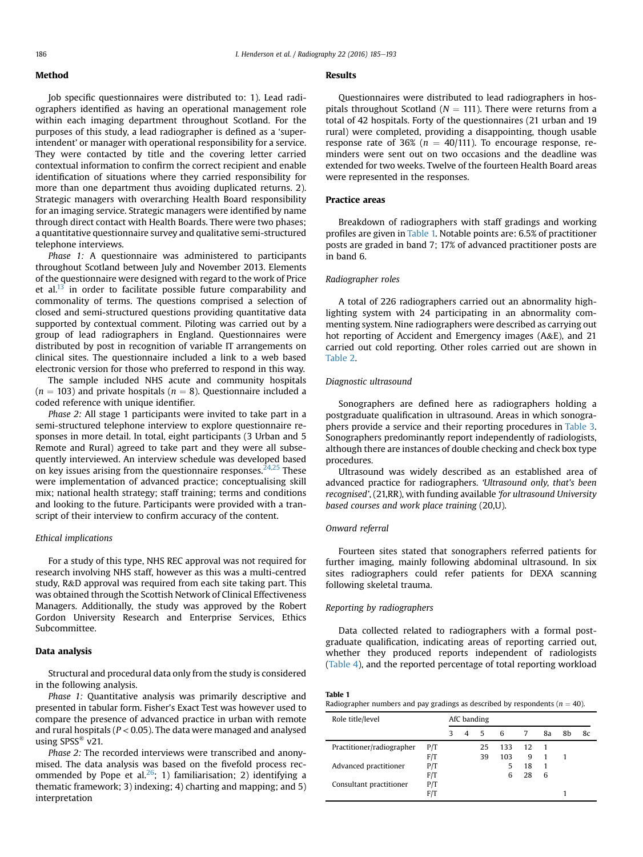## Method

Job specific questionnaires were distributed to: 1). Lead radiographers identified as having an operational management role within each imaging department throughout Scotland. For the purposes of this study, a lead radiographer is defined as a 'superintendent' or manager with operational responsibility for a service. They were contacted by title and the covering letter carried contextual information to confirm the correct recipient and enable identification of situations where they carried responsibility for more than one department thus avoiding duplicated returns. 2). Strategic managers with overarching Health Board responsibility for an imaging service. Strategic managers were identified by name through direct contact with Health Boards. There were two phases; a quantitative questionnaire survey and qualitative semi-structured telephone interviews.

Phase 1: A questionnaire was administered to participants throughout Scotland between July and November 2013. Elements of the questionnaire were designed with regard to the work of Price et al. $13$  in order to facilitate possible future comparability and commonality of terms. The questions comprised a selection of closed and semi-structured questions providing quantitative data supported by contextual comment. Piloting was carried out by a group of lead radiographers in England. Questionnaires were distributed by post in recognition of variable IT arrangements on clinical sites. The questionnaire included a link to a web based electronic version for those who preferred to respond in this way.

The sample included NHS acute and community hospitals  $(n = 103)$  and private hospitals  $(n = 8)$ . Questionnaire included a coded reference with unique identifier.

Phase 2: All stage 1 participants were invited to take part in a semi-structured telephone interview to explore questionnaire responses in more detail. In total, eight participants (3 Urban and 5 Remote and Rural) agreed to take part and they were all subsequently interviewed. An interview schedule was developed based on key issues arising from the questionnaire responses.  $24,25$  These were implementation of advanced practice; conceptualising skill mix; national health strategy; staff training; terms and conditions and looking to the future. Participants were provided with a transcript of their interview to confirm accuracy of the content.

#### Ethical implications

For a study of this type, NHS REC approval was not required for research involving NHS staff, however as this was a multi-centred study, R&D approval was required from each site taking part. This was obtained through the Scottish Network of Clinical Effectiveness Managers. Additionally, the study was approved by the Robert Gordon University Research and Enterprise Services, Ethics Subcommittee.

## Data analysis

Structural and procedural data only from the study is considered in the following analysis.

Phase 1: Quantitative analysis was primarily descriptive and presented in tabular form. Fisher's Exact Test was however used to compare the presence of advanced practice in urban with remote and rural hospitals ( $P < 0.05$ ). The data were managed and analysed using SPSS<sup>®</sup> v21.

Phase 2: The recorded interviews were transcribed and anonymised. The data analysis was based on the fivefold process recommended by Pope et al.<sup>26</sup>; 1) familiarisation; 2) identifying a thematic framework; 3) indexing; 4) charting and mapping; and 5) interpretation

## Results

Questionnaires were distributed to lead radiographers in hospitals throughout Scotland ( $N = 111$ ). There were returns from a total of 42 hospitals. Forty of the questionnaires (21 urban and 19 rural) were completed, providing a disappointing, though usable response rate of 36% ( $n = 40/111$ ). To encourage response, reminders were sent out on two occasions and the deadline was extended for two weeks. Twelve of the fourteen Health Board areas were represented in the responses.

## Practice areas

Breakdown of radiographers with staff gradings and working profiles are given in Table 1. Notable points are: 6.5% of practitioner posts are graded in band 7; 17% of advanced practitioner posts are in band 6.

## Radiographer roles

A total of 226 radiographers carried out an abnormality highlighting system with 24 participating in an abnormality commenting system. Nine radiographers were described as carrying out hot reporting of Accident and Emergency images (A&E), and 21 carried out cold reporting. Other roles carried out are shown in [Table 2.](#page-2-0)

## Diagnostic ultrasound

Sonographers are defined here as radiographers holding a postgraduate qualification in ultrasound. Areas in which sonographers provide a service and their reporting procedures in [Table 3.](#page-2-0) Sonographers predominantly report independently of radiologists, although there are instances of double checking and check box type procedures.

Ultrasound was widely described as an established area of advanced practice for radiographers. 'Ultrasound only, that's been recognised', (21,RR), with funding available 'for ultrasound University based courses and work place training (20,U).

#### Onward referral

Fourteen sites stated that sonographers referred patients for further imaging, mainly following abdominal ultrasound. In six sites radiographers could refer patients for DEXA scanning following skeletal trauma.

## Reporting by radiographers

Data collected related to radiographers with a formal postgraduate qualification, indicating areas of reporting carried out, whether they produced reports independent of radiologists ([Table 4\)](#page-3-0), and the reported percentage of total reporting workload

| Table 1                                                                         |
|---------------------------------------------------------------------------------|
| Radiographer numbers and pay gradings as described by respondents ( $n = 40$ ). |

| Role title/level          |     |   | AfC banding    |    |     |     |    |    |    |
|---------------------------|-----|---|----------------|----|-----|-----|----|----|----|
|                           |     | κ | $\overline{4}$ | 5. | 6   | 7   | 8a | 8h | 8с |
| Practitioner/radiographer | P/T |   |                | 25 | 133 | -12 |    |    |    |
|                           | F/T |   |                | 39 | 103 | 9   | 1  |    |    |
| Advanced practitioner     | P/T |   |                |    | 5   | 18  |    |    |    |
|                           | F/T |   |                |    | 6   | 28  | 6  |    |    |
| Consultant practitioner   | P/T |   |                |    |     |     |    |    |    |
|                           | F/T |   |                |    |     |     |    |    |    |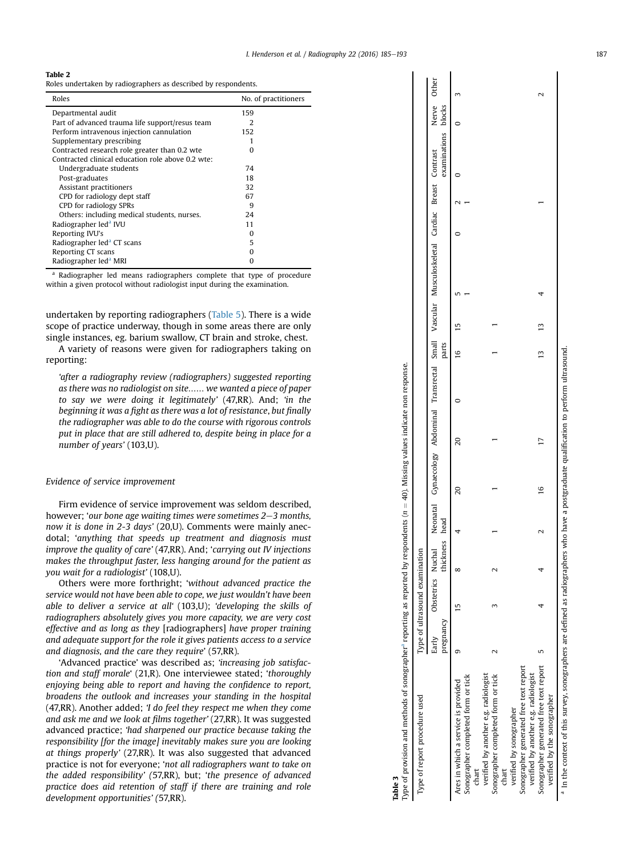<span id="page-2-0"></span>Roles undertaken by radiographers as described by respondents.

| Roles                                             | No. of practitioners |
|---------------------------------------------------|----------------------|
| Departmental audit                                | 159                  |
| Part of advanced trauma life support/resus team   | $\mathcal{L}$        |
| Perform intravenous injection cannulation         | 152                  |
| Supplementary prescribing                         |                      |
| Contracted research role greater than 0.2 wte     | O                    |
| Contracted clinical education role above 0.2 wte: |                      |
| Undergraduate students                            | 74                   |
| Post-graduates                                    | 18                   |
| Assistant practitioners                           | 32                   |
| CPD for radiology dept staff                      | 67                   |
| CPD for radiology SPRs                            | 9                    |
| Others: including medical students, nurses.       | 24                   |
| Radiographer led <sup>a</sup> IVU                 | 11                   |
| Reporting IVU's                                   | O                    |
| Radiographer led <sup>a</sup> CT scans            | 5                    |
| Reporting CT scans                                | O                    |
| Radiographer led <sup>a</sup> MRI                 | $\Omega$             |

<sup>a</sup> Radiographer led means radiographers complete that type of procedure within a given protocol without radiologist input during the examination.

undertaken by reporting radiographers [\(Table 5](#page-3-0)). There is a wide scope of practice underway, though in some areas there are only single instances, eg. barium swallow, CT brain and stroke, chest.

A variety of reasons were given for radiographers taking on reporting:

'after a radiography review (radiographers) suggested reporting as there was no radiologist on site…… we wanted a piece of paper to say we were doing it legitimately' (47,RR). And; 'in the beginning it was a fight as there was a lot of resistance, but finally the radiographer was able to do the course with rigorous controls put in place that are still adhered to, despite being in place for a number of years' (103,U).

#### Evidence of service improvement

Firm evidence of service improvement was seldom described, however; 'our bone age waiting times were sometimes  $2-3$  months, now it is done in 2-3 days' (20,U). Comments were mainly anecdotal; 'anything that speeds up treatment and diagnosis must improve the quality of care' (47,RR). And; 'carrying out IV injections makes the throughput faster, less hanging around for the patient as you wait for a radiologist' (108,U).

Others were more forthright; 'without advanced practice the service would not have been able to cope, we just wouldn't have been able to deliver a service at all' (103,U); 'developing the skills of radiographers absolutely gives you more capacity, we are very cost effective and as long as they [radiographers] have proper training and adequate support for the role it gives patients access to a service and diagnosis, and the care they require' (57,RR).

'Advanced practice' was described as; 'increasing job satisfaction and staff morale' (21,R). One interviewee stated; 'thoroughly enjoying being able to report and having the confidence to report, broadens the outlook and increases your standing in the hospital (47,RR). Another added; 'I do feel they respect me when they come and ask me and we look at films together' (27,RR). It was suggested advanced practice; 'had sharpened our practice because taking the responsibility [for the image] inevitably makes sure you are looking at things properly' (27,RR). It was also suggested that advanced practice is not for everyone; 'not all radiographers want to take on the added responsibility' (57,RR), but; 'the presence of advanced practice does aid retention of staff if there are training and role development opportunities' (57,RR).

| Type of provision and methods of sonographer <sup>3</sup> reporting as reported by respondents ( $n = 40$ ). Missing values indicate non response.<br>Table 3 |                    |                                |                |               |  |                |                                                                                                   |  |                     |             |
|---------------------------------------------------------------------------------------------------------------------------------------------------------------|--------------------|--------------------------------|----------------|---------------|--|----------------|---------------------------------------------------------------------------------------------------|--|---------------------|-------------|
| Type of report procedure used                                                                                                                                 |                    | Type of ultrasound examination |                |               |  |                |                                                                                                   |  |                     |             |
|                                                                                                                                                               | pregnancy<br>Early | Obstetrics Nuchal              | thickness head |               |  | parts          | Neonatal Gynaecology Abdominal Transrectal Small Vascular Musculoskeletal Cardiac Breast Contrast |  | examinations blocks | Nerve Other |
| Sonographer completed form or tick<br>Ares in which a service is provided<br>chart                                                                            |                    | $\propto$                      |                |               |  | $\overline{9}$ |                                                                                                   |  |                     |             |
| verified by another e.g. radiologist<br>Sonographer completed form or tick<br>chart                                                                           |                    |                                |                |               |  |                |                                                                                                   |  |                     |             |
| Sonographer generated free text report<br>verified by another e.g. radiologist<br>verified by sonographer                                                     |                    |                                |                |               |  |                |                                                                                                   |  |                     |             |
| Sonographer generated free text report<br>verified by the sonographer                                                                                         |                    |                                |                | $\frac{6}{2}$ |  |                |                                                                                                   |  |                     |             |
|                                                                                                                                                               |                    |                                |                |               |  |                |                                                                                                   |  |                     |             |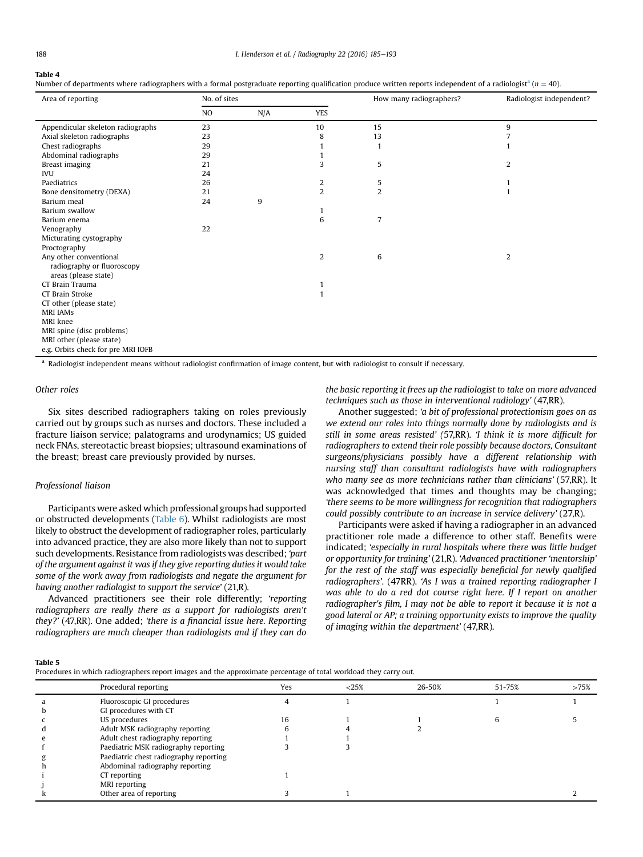<span id="page-3-0"></span>Number of departments where radiographers with a formal postgraduate reporting qualification produce written reports independent of a radiologist<sup>a</sup> ( $n = 40$ ).

| Area of reporting                                                            | No. of sites |     |                | How many radiographers? | Radiologist independent? |  |  |
|------------------------------------------------------------------------------|--------------|-----|----------------|-------------------------|--------------------------|--|--|
|                                                                              | NO.          | N/A | <b>YES</b>     |                         |                          |  |  |
| Appendicular skeleton radiographs                                            | 23           |     | 10             | 15                      | 9                        |  |  |
| Axial skeleton radiographs                                                   | 23           |     | 8              | 13                      |                          |  |  |
| Chest radiographs                                                            | 29           |     |                |                         |                          |  |  |
| Abdominal radiographs                                                        | 29           |     |                |                         |                          |  |  |
| Breast imaging                                                               | 21           |     | 3              | 5                       | 2                        |  |  |
| <b>IVU</b>                                                                   | 24           |     |                |                         |                          |  |  |
| Paediatrics                                                                  | 26           |     | 2              | 5                       |                          |  |  |
| Bone densitometry (DEXA)                                                     | 21           |     | $\overline{2}$ | $\overline{2}$          |                          |  |  |
| Barium meal                                                                  | 24           | 9   |                |                         |                          |  |  |
| Barium swallow                                                               |              |     |                |                         |                          |  |  |
| Barium enema                                                                 |              |     | 6              | $\overline{7}$          |                          |  |  |
| Venography                                                                   | 22           |     |                |                         |                          |  |  |
| Micturating cystography                                                      |              |     |                |                         |                          |  |  |
| Proctography                                                                 |              |     |                |                         |                          |  |  |
| Any other conventional<br>radiography or fluoroscopy<br>areas (please state) |              |     | 2              | 6                       | 2                        |  |  |
| CT Brain Trauma                                                              |              |     |                |                         |                          |  |  |
| CT Brain Stroke                                                              |              |     |                |                         |                          |  |  |
| CT other (please state)                                                      |              |     |                |                         |                          |  |  |
| <b>MRI IAMs</b>                                                              |              |     |                |                         |                          |  |  |
| MRI knee                                                                     |              |     |                |                         |                          |  |  |
| MRI spine (disc problems)                                                    |              |     |                |                         |                          |  |  |
| MRI other (please state)                                                     |              |     |                |                         |                          |  |  |
| e.g. Orbits check for pre MRI IOFB                                           |              |     |                |                         |                          |  |  |

<sup>a</sup> Radiologist independent means without radiologist confirmation of image content, but with radiologist to consult if necessary.

# Other roles

Six sites described radiographers taking on roles previously carried out by groups such as nurses and doctors. These included a fracture liaison service; palatograms and urodynamics; US guided neck FNAs, stereotactic breast biopsies; ultrasound examinations of the breast; breast care previously provided by nurses.

## Professional liaison

Participants were asked which professional groups had supported or obstructed developments ([Table 6\)](#page-4-0). Whilst radiologists are most likely to obstruct the development of radiographer roles, particularly into advanced practice, they are also more likely than not to support such developments. Resistance from radiologists was described; 'part of the argument against it was if they give reporting duties it would take some of the work away from radiologists and negate the argument for having another radiologist to support the service' (21,R).

Advanced practitioners see their role differently; 'reporting radiographers are really there as a support for radiologists aren't they?' (47,RR). One added; 'there is a financial issue here. Reporting radiographers are much cheaper than radiologists and if they can do the basic reporting it frees up the radiologist to take on more advanced techniques such as those in interventional radiology' (47,RR).

Another suggested; 'a bit of professional protectionism goes on as we extend our roles into things normally done by radiologists and is still in some areas resisted' (57,RR). 'I think it is more difficult for radiographers to extend their role possibly because doctors, Consultant surgeons/physicians possibly have a different relationship with nursing staff than consultant radiologists have with radiographers who many see as more technicians rather than clinicians' (57, RR). It was acknowledged that times and thoughts may be changing; 'there seems to be more willingness for recognition that radiographers could possibly contribute to an increase in service delivery' (27,R).

Participants were asked if having a radiographer in an advanced practitioner role made a difference to other staff. Benefits were indicated; 'especially in rural hospitals where there was little budget or opportunity for training' (21,R). 'Advanced practitioner 'mentorship' for the rest of the staff was especially beneficial for newly qualified radiographers'. (47RR). 'As I was a trained reporting radiographer I was able to do a red dot course right here. If I report on another radiographer's film, I may not be able to report it because it is not a good lateral or AP; a training opportunity exists to improve the quality of imaging within the department' (47,RR).

#### Table 5

Procedures in which radiographers report images and the approximate percentage of total workload they carry out.

| Procedural reporting                   | Yes | < 25% | 26-50% | 51-75% | >75% |
|----------------------------------------|-----|-------|--------|--------|------|
| Fluoroscopic GI procedures             |     |       |        |        |      |
| GI procedures with CT                  |     |       |        |        |      |
| US procedures                          | 16  |       |        |        |      |
| Adult MSK radiography reporting        |     |       |        |        |      |
| Adult chest radiography reporting      |     |       |        |        |      |
| Paediatric MSK radiography reporting   |     |       |        |        |      |
| Paediatric chest radiography reporting |     |       |        |        |      |
| Abdominal radiography reporting        |     |       |        |        |      |
| CT reporting                           |     |       |        |        |      |
| MRI reporting                          |     |       |        |        |      |
| Other area of reporting                |     |       |        |        |      |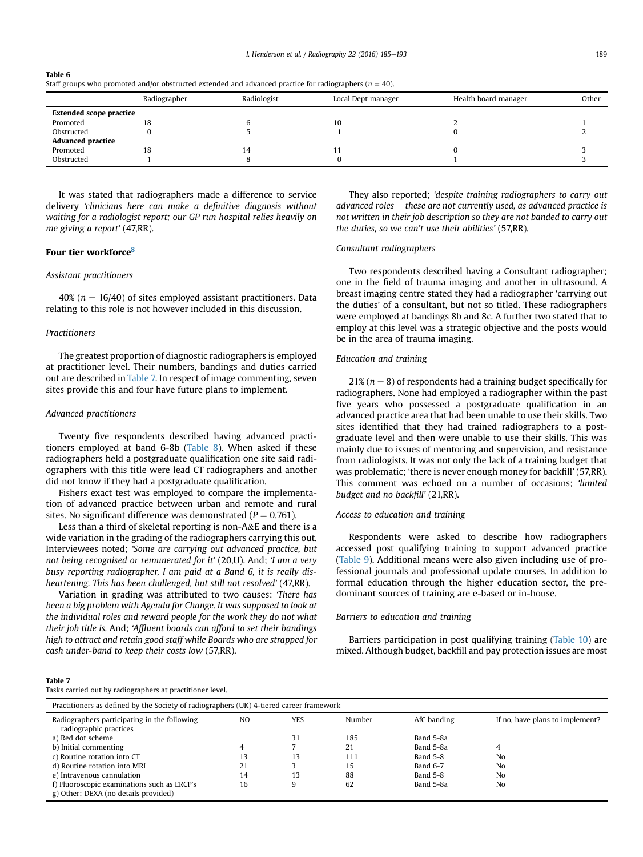#### <span id="page-4-0"></span>Table 6 Staff groups who promoted and/or obstructed extended and advanced practice for radiographers ( $n = 40$ ).

|                                | Radiographer | Radiologist | Local Dept manager | Health board manager | Other |
|--------------------------------|--------------|-------------|--------------------|----------------------|-------|
| <b>Extended scope practice</b> |              |             |                    |                      |       |
| Promoted                       | 18           |             | 10                 |                      |       |
| Obstructed                     |              |             |                    |                      |       |
| <b>Advanced practice</b>       |              |             |                    |                      |       |
| Promoted                       | 18           | 14          |                    |                      |       |
| Obstructed                     |              |             |                    |                      |       |
|                                |              |             |                    |                      |       |

It was stated that radiographers made a difference to service delivery 'clinicians here can make a definitive diagnosis without waiting for a radiologist report; our GP run hospital relies heavily on me giving a report' (47,RR).

# Four tier workforc[e8](#page-7-0)

## Assistant practitioners

40% ( $n = 16/40$ ) of sites employed assistant practitioners. Data relating to this role is not however included in this discussion.

## Practitioners

The greatest proportion of diagnostic radiographers is employed at practitioner level. Their numbers, bandings and duties carried out are described in Table 7. In respect of image commenting, seven sites provide this and four have future plans to implement.

## Advanced practitioners

Twenty five respondents described having advanced practitioners employed at band 6-8b ([Table 8](#page-5-0)). When asked if these radiographers held a postgraduate qualification one site said radiographers with this title were lead CT radiographers and another did not know if they had a postgraduate qualification.

Fishers exact test was employed to compare the implementation of advanced practice between urban and remote and rural sites. No significant difference was demonstrated ( $P = 0.761$ ).

Less than a third of skeletal reporting is non-A&E and there is a wide variation in the grading of the radiographers carrying this out. Interviewees noted; 'Some are carrying out advanced practice, but not being recognised or remunerated for it' (20,U). And; 'I am a very busy reporting radiographer, I am paid at a Band 6, it is really disheartening. This has been challenged, but still not resolved' (47,RR).

Variation in grading was attributed to two causes: There has been a big problem with Agenda for Change. It was supposed to look at the individual roles and reward people for the work they do not what their job title is. And; 'Affluent boards can afford to set their bandings high to attract and retain good staff while Boards who are strapped for cash under-band to keep their costs low (57,RR).

They also reported; 'despite training radiographers to carry out advanced roles  $-$  these are not currently used, as advanced practice is not written in their job description so they are not banded to carry out the duties, so we can't use their abilities' (57,RR).

## Consultant radiographers

Two respondents described having a Consultant radiographer; one in the field of trauma imaging and another in ultrasound. A breast imaging centre stated they had a radiographer 'carrying out the duties' of a consultant, but not so titled. These radiographers were employed at bandings 8b and 8c. A further two stated that to employ at this level was a strategic objective and the posts would be in the area of trauma imaging.

## Education and training

 $21\%$  ( $n = 8$ ) of respondents had a training budget specifically for radiographers. None had employed a radiographer within the past five years who possessed a postgraduate qualification in an advanced practice area that had been unable to use their skills. Two sites identified that they had trained radiographers to a postgraduate level and then were unable to use their skills. This was mainly due to issues of mentoring and supervision, and resistance from radiologists. It was not only the lack of a training budget that was problematic; 'there is never enough money for backfill' (57,RR). This comment was echoed on a number of occasions; 'limited budget and no backfill' (21,RR).

#### Access to education and training

Respondents were asked to describe how radiographers accessed post qualifying training to support advanced practice ([Table 9\)](#page-5-0). Additional means were also given including use of professional journals and professional update courses. In addition to formal education through the higher education sector, the predominant sources of training are e-based or in-house.

#### Barriers to education and training

Barriers participation in post qualifying training [\(Table 10\)](#page-5-0) are mixed. Although budget, backfill and pay protection issues are most

#### Table 7

Tasks carried out by radiographers at practitioner level.

| Practitioners as defined by the Society of radiographers (UK) 4-tiered career framework |                |            |        |                 |                                 |  |  |  |  |
|-----------------------------------------------------------------------------------------|----------------|------------|--------|-----------------|---------------------------------|--|--|--|--|
| Radiographers participating in the following<br>radiographic practices                  | N <sub>O</sub> | <b>YES</b> | Number | AfC banding     | If no, have plans to implement? |  |  |  |  |
| a) Red dot scheme                                                                       |                | 31         | 185    | Band 5-8a       |                                 |  |  |  |  |
| b) Initial commenting                                                                   |                |            | 21     | Band 5-8a       |                                 |  |  |  |  |
| c) Routine rotation into CT                                                             | 13             | 13         | 111    | <b>Band 5-8</b> | No                              |  |  |  |  |
| d) Routine rotation into MRI                                                            | 21             |            | 15     | <b>Band 6-7</b> | No                              |  |  |  |  |
| e) Intravenous cannulation                                                              | 14             | 13         | 88     | <b>Band 5-8</b> | No                              |  |  |  |  |
| f) Fluoroscopic examinations such as ERCP's                                             | 16             | 9          | 62     | Band 5-8a       | No                              |  |  |  |  |
| g) Other: DEXA (no details provided)                                                    |                |            |        |                 |                                 |  |  |  |  |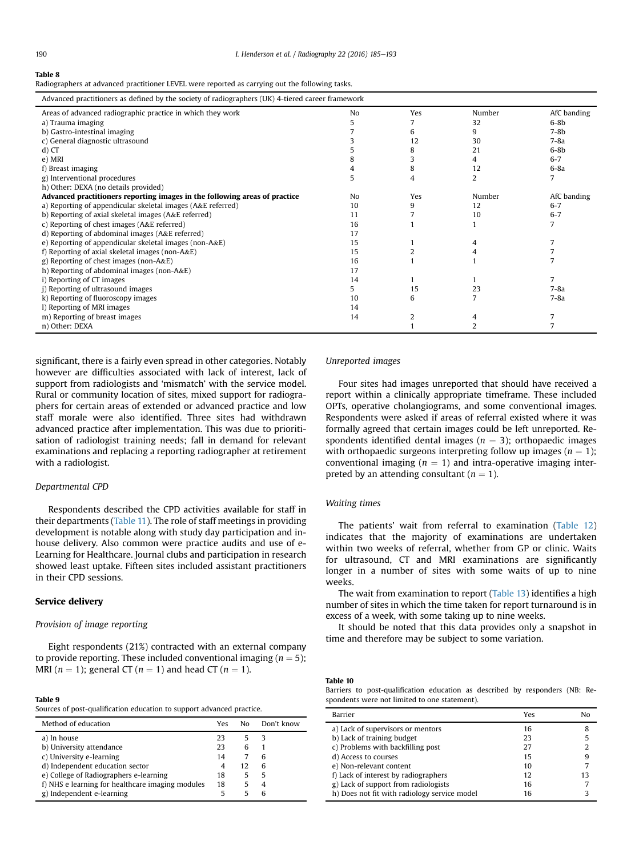<span id="page-5-0"></span>Radiographers at advanced practitioner LEVEL were reported as carrying out the following tasks.

Advanced practitioners as defined by the society of radiographers (UK) 4-tiered career framework

| $n$ and $n$ are the contracted by the society of famographers (OK) $\tau$ there a called framework |                |     |        |             |
|----------------------------------------------------------------------------------------------------|----------------|-----|--------|-------------|
| Areas of advanced radiographic practice in which they work                                         | N <sub>0</sub> | Yes | Number | AfC banding |
| a) Trauma imaging                                                                                  |                |     | 32     | $6-8b$      |
| b) Gastro-intestinal imaging                                                                       |                | 6   |        | $7-8b$      |
| c) General diagnostic ultrasound                                                                   |                | 12  | 30     | $7-8a$      |
| $d)$ CT                                                                                            |                | 8   | 21     | $6-8b$      |
| e) MRI                                                                                             |                |     |        | $6 - 7$     |
| f) Breast imaging                                                                                  |                |     | 12     | $6-8a$      |
| g) Interventional procedures                                                                       |                |     |        |             |
| h) Other: DEXA (no details provided)                                                               |                |     |        |             |
| Advanced practitioners reporting images in the following areas of practice                         | N <sub>0</sub> | Yes | Number | AfC banding |
| a) Reporting of appendicular skeletal images (A&E referred)                                        | 10             |     | 12     | $6 - 7$     |
| b) Reporting of axial skeletal images (A&E referred)                                               | 11             |     | 10     | $6 - 7$     |
| c) Reporting of chest images (A&E referred)                                                        | 16             |     |        |             |
| d) Reporting of abdominal images (A&E referred)                                                    | 17             |     |        |             |
| e) Reporting of appendicular skeletal images (non-A&E)                                             | 15             |     |        |             |
| f) Reporting of axial skeletal images (non-A&E)                                                    | 15             |     |        |             |
| g) Reporting of chest images (non-A&E)                                                             | 16             |     |        |             |
| h) Reporting of abdominal images (non-A&E)                                                         | 17             |     |        |             |
| i) Reporting of CT images                                                                          | 14             |     |        |             |
| j) Reporting of ultrasound images                                                                  |                | 15  | 23     | $7-8a$      |
| k) Reporting of fluoroscopy images                                                                 | 10             | 6   |        | $7-8a$      |
| l) Reporting of MRI images                                                                         | 14             |     |        |             |
| m) Reporting of breast images                                                                      | 14             |     |        |             |
| n) Other: DEXA                                                                                     |                |     |        |             |

significant, there is a fairly even spread in other categories. Notably however are difficulties associated with lack of interest, lack of support from radiologists and 'mismatch' with the service model. Rural or community location of sites, mixed support for radiographers for certain areas of extended or advanced practice and low staff morale were also identified. Three sites had withdrawn advanced practice after implementation. This was due to prioritisation of radiologist training needs; fall in demand for relevant examinations and replacing a reporting radiographer at retirement with a radiologist.

## Departmental CPD

Respondents described the CPD activities available for staff in their departments ([Table 11\)](#page-6-0). The role of staff meetings in providing development is notable along with study day participation and inhouse delivery. Also common were practice audits and use of e-Learning for Healthcare. Journal clubs and participation in research showed least uptake. Fifteen sites included assistant practitioners in their CPD sessions.

## Service delivery

## Provision of image reporting

Eight respondents (21%) contracted with an external company to provide reporting. These included conventional imaging  $(n = 5)$ ; MRI ( $n = 1$ ); general CT ( $n = 1$ ) and head CT ( $n = 1$ ).

#### Table 9

Sources of post-qualification education to support advanced practice.

| Method of education                              | Yes | N٥ | Don't know |
|--------------------------------------------------|-----|----|------------|
| a) In house                                      | 23  |    |            |
| b) University attendance                         | 23  | 6  |            |
| c) University e-learning                         | 14  |    | 6          |
| d) Independent education sector                  | 4   | 12 | 6          |
| e) College of Radiographers e-learning           | 18  | 5  | 5          |
| f) NHS e learning for healthcare imaging modules | 18  | 5  | 4          |
| g) Independent e-learning                        | 5   |    | 6          |

## Unreported images

Four sites had images unreported that should have received a report within a clinically appropriate timeframe. These included OPTs, operative cholangiograms, and some conventional images. Respondents were asked if areas of referral existed where it was formally agreed that certain images could be left unreported. Respondents identified dental images ( $n = 3$ ); orthopaedic images with orthopaedic surgeons interpreting follow up images ( $n = 1$ ); conventional imaging ( $n = 1$ ) and intra-operative imaging interpreted by an attending consultant  $(n = 1)$ .

# Waiting times

The patients' wait from referral to examination ([Table 12\)](#page-6-0) indicates that the majority of examinations are undertaken within two weeks of referral, whether from GP or clinic. Waits for ultrasound, CT and MRI examinations are significantly longer in a number of sites with some waits of up to nine weeks.

The wait from examination to report [\(Table 13](#page-7-0)) identifies a high number of sites in which the time taken for report turnaround is in excess of a week, with some taking up to nine weeks.

It should be noted that this data provides only a snapshot in time and therefore may be subject to some variation.

#### Table 10

Barriers to post-qualification education as described by responders (NB: Respondents were not limited to one statement).

| Barrier                                      | Yes | N٥            |
|----------------------------------------------|-----|---------------|
| a) Lack of supervisors or mentors            | 16  | 8             |
| b) Lack of training budget                   | 23  |               |
| c) Problems with backfilling post            | 27  | $\mathcal{D}$ |
| d) Access to courses                         | 15  | 9             |
| e) Non-relevant content                      | 10  |               |
| f) Lack of interest by radiographers         | 12  | 13            |
| g) Lack of support from radiologists         | 16  |               |
| h) Does not fit with radiology service model | 16  |               |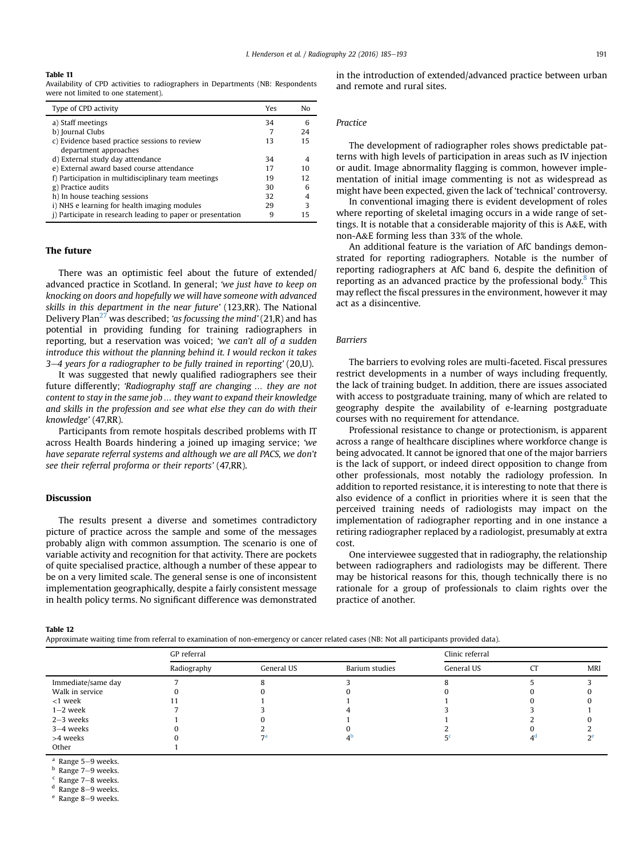<span id="page-6-0"></span>Availability of CPD activities to radiographers in Departments (NB: Respondents were not limited to one statement).

| Type of CPD activity                                                | Yes | N٥ |
|---------------------------------------------------------------------|-----|----|
| a) Staff meetings                                                   | 34  | 6  |
| b) Journal Clubs                                                    |     | 24 |
| c) Evidence based practice sessions to review                       | 13  | 15 |
| department approaches                                               |     |    |
| d) External study day attendance                                    | 34  | 4  |
| e) External award based course attendance                           | 17  | 10 |
| f) Participation in multidisciplinary team meetings                 | 19  | 12 |
| g) Practice audits                                                  | 30  | հ  |
| h) In house teaching sessions                                       | 32  |    |
| i) NHS e learning for health imaging modules                        | 29  | 3  |
| <i>i</i> ) Participate in research leading to paper or presentation | 9   | 15 |

## The future

There was an optimistic feel about the future of extended/ advanced practice in Scotland. In general; 'we just have to keep on knocking on doors and hopefully we will have someone with advanced skills in this department in the near future' (123,RR). The National Delivery Plan<sup>27</sup> was described; 'as focussing the mind' (21,R) and has potential in providing funding for training radiographers in reporting, but a reservation was voiced; 'we can't all of a sudden introduce this without the planning behind it. I would reckon it takes 3-4 years for a radiographer to be fully trained in reporting' (20,U).

It was suggested that newly qualified radiographers see their future differently; 'Radiography staff are changing … they are not content to stay in the same job … they want to expand their knowledge and skills in the profession and see what else they can do with their knowledge' (47,RR).

Participants from remote hospitals described problems with IT across Health Boards hindering a joined up imaging service; 'we have separate referral systems and although we are all PACS, we don't see their referral proforma or their reports' (47,RR).

## Discussion

The results present a diverse and sometimes contradictory picture of practice across the sample and some of the messages probably align with common assumption. The scenario is one of variable activity and recognition for that activity. There are pockets of quite specialised practice, although a number of these appear to be on a very limited scale. The general sense is one of inconsistent implementation geographically, despite a fairly consistent message in health policy terms. No significant difference was demonstrated

in the introduction of extended/advanced practice between urban and remote and rural sites.

# Practice

The development of radiographer roles shows predictable patterns with high levels of participation in areas such as IV injection or audit. Image abnormality flagging is common, however implementation of initial image commenting is not as widespread as might have been expected, given the lack of 'technical' controversy.

In conventional imaging there is evident development of roles where reporting of skeletal imaging occurs in a wide range of settings. It is notable that a considerable majority of this is A&E, with non-A&E forming less than 33% of the whole.

An additional feature is the variation of AfC bandings demonstrated for reporting radiographers. Notable is the number of reporting radiographers at AfC band 6, despite the definition of reporting as an advanced practice by the professional body. $8$  This may reflect the fiscal pressures in the environment, however it may act as a disincentive.

#### Barriers

The barriers to evolving roles are multi-faceted. Fiscal pressures restrict developments in a number of ways including frequently, the lack of training budget. In addition, there are issues associated with access to postgraduate training, many of which are related to geography despite the availability of e-learning postgraduate courses with no requirement for attendance.

Professional resistance to change or protectionism, is apparent across a range of healthcare disciplines where workforce change is being advocated. It cannot be ignored that one of the major barriers is the lack of support, or indeed direct opposition to change from other professionals, most notably the radiology profession. In addition to reported resistance, it is interesting to note that there is also evidence of a conflict in priorities where it is seen that the perceived training needs of radiologists may impact on the implementation of radiographer reporting and in one instance a retiring radiographer replaced by a radiologist, presumably at extra cost.

One interviewee suggested that in radiography, the relationship between radiographers and radiologists may be different. There may be historical reasons for this, though technically there is no rationale for a group of professionals to claim rights over the practice of another.

#### Table 12

Approximate waiting time from referral to examination of non-emergency or cancer related cases (NB: Not all participants provided data).

|                    | GP referral |            |                | Clinic referral |  |     |
|--------------------|-------------|------------|----------------|-----------------|--|-----|
|                    | Radiography | General US | Barium studies | General US      |  | MRI |
| Immediate/same day |             |            |                |                 |  |     |
| Walk in service    |             |            |                |                 |  |     |
| $<$ 1 week         |             |            |                |                 |  |     |
| $1-2$ week         |             |            |                |                 |  |     |
| $2-3$ weeks        |             |            |                |                 |  |     |
| 3-4 weeks          |             |            |                |                 |  |     |
| >4 weeks           |             |            |                |                 |  |     |
| Other              |             |            |                |                 |  |     |

Range 5-9 weeks.

Range 7-9 weeks.

Range 7-8 weeks.

Range 8-9 weeks.

Range 8-9 weeks.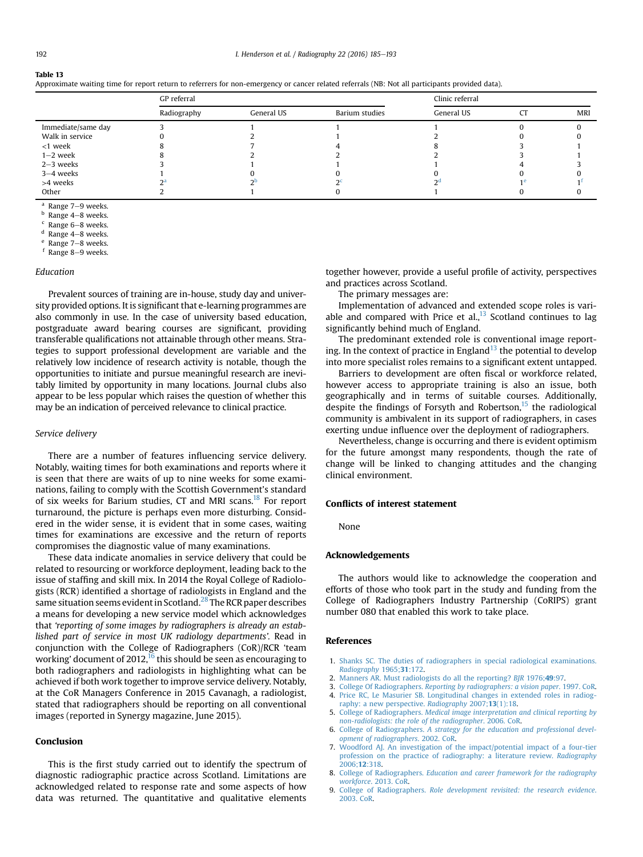<span id="page-7-0"></span>Approximate waiting time for report return to referrers for non-emergency or cancer related referrals (NB: Not all participants provided data).

|                    | GP referral |            |                | Clinic referral |    |     |
|--------------------|-------------|------------|----------------|-----------------|----|-----|
|                    | Radiography | General US | Barium studies | General US      | CT | MRI |
| Immediate/same day |             |            |                |                 |    |     |
| Walk in service    |             |            |                |                 |    |     |
| $<$ 1 week         |             |            |                |                 |    |     |
| $1-2$ week         |             |            |                |                 |    |     |
| $2-3$ weeks        |             |            |                |                 |    |     |
| $3-4$ weeks        |             |            |                |                 |    |     |
| >4 weeks           |             |            |                |                 |    |     |
| Other              |             |            |                |                 |    |     |

 $a$  Range 7–9 weeks.

 $<sup>b</sup>$  Range 4–8 weeks.</sup>

 $c$  Range 6-8 weeks.

 $d$  Range 4-8 weeks.

 $e$  Range 7–8 weeks.

 $f$  Range 8-9 weeks.

#### Education

Prevalent sources of training are in-house, study day and university provided options. It is significant that e-learning programmes are also commonly in use. In the case of university based education, postgraduate award bearing courses are significant, providing transferable qualifications not attainable through other means. Strategies to support professional development are variable and the relatively low incidence of research activity is notable, though the opportunities to initiate and pursue meaningful research are inevitably limited by opportunity in many locations. Journal clubs also appear to be less popular which raises the question of whether this may be an indication of perceived relevance to clinical practice.

## Service delivery

There are a number of features influencing service delivery. Notably, waiting times for both examinations and reports where it is seen that there are waits of up to nine weeks for some examinations, failing to comply with the Scottish Government's standard of six weeks for Barium studies, CT and MRI scans.<sup>[18](#page-8-0)</sup> For report turnaround, the picture is perhaps even more disturbing. Considered in the wider sense, it is evident that in some cases, waiting times for examinations are excessive and the return of reports compromises the diagnostic value of many examinations.

These data indicate anomalies in service delivery that could be related to resourcing or workforce deployment, leading back to the issue of staffing and skill mix. In 2014 the Royal College of Radiologists (RCR) identified a shortage of radiologists in England and the same situation seems evident in Scotland.<sup>[28](#page-8-0)</sup> The RCR paper describes a means for developing a new service model which acknowledges that 'reporting of some images by radiographers is already an established part of service in most UK radiology departments'. Read in conjunction with the College of Radiographers (CoR)/RCR 'team working' document of 2012,<sup>16</sup> this should be seen as encouraging to both radiographers and radiologists in highlighting what can be achieved if both work together to improve service delivery. Notably, at the CoR Managers Conference in 2015 Cavanagh, a radiologist, stated that radiographers should be reporting on all conventional images (reported in Synergy magazine, June 2015).

## Conclusion

This is the first study carried out to identify the spectrum of diagnostic radiographic practice across Scotland. Limitations are acknowledged related to response rate and some aspects of how data was returned. The quantitative and qualitative elements together however, provide a useful profile of activity, perspectives and practices across Scotland.

The primary messages are:

Implementation of advanced and extended scope roles is variable and compared with Price et al., $13$  Scotland continues to lag significantly behind much of England.

The predominant extended role is conventional image report-ing. In the context of practice in England<sup>[13](#page-8-0)</sup> the potential to develop into more specialist roles remains to a significant extent untapped.

Barriers to development are often fiscal or workforce related, however access to appropriate training is also an issue, both geographically and in terms of suitable courses. Additionally, despite the findings of Forsyth and Robertson, $15$  the radiological community is ambivalent in its support of radiographers, in cases exerting undue influence over the deployment of radiographers.

Nevertheless, change is occurring and there is evident optimism for the future amongst many respondents, though the rate of change will be linked to changing attitudes and the changing clinical environment.

## Conflicts of interest statement

None

#### Acknowledgements

The authors would like to acknowledge the cooperation and efforts of those who took part in the study and funding from the College of Radiographers Industry Partnership (CoRIPS) grant number 080 that enabled this work to take place.

## References

- 1. [Shanks SC. The duties of radiographers in special radiological examinations.](http://refhub.elsevier.com/S1078-8174(15)00138-8/sref1) [Radiography](http://refhub.elsevier.com/S1078-8174(15)00138-8/sref1) 1965;31:172.
- 2. [Manners AR. Must radiologists do all the reporting?](http://refhub.elsevier.com/S1078-8174(15)00138-8/sref2) BJR 1976;49:97.
- 3. College Of Radiographers. [Reporting by radiographers: a vision paper](http://refhub.elsevier.com/S1078-8174(15)00138-8/sref3). 1997. CoR. 4. [Price RC, Le Masurier SB. Longitudinal changes in extended roles in radiog-](http://refhub.elsevier.com/S1078-8174(15)00138-8/sref4)
- [raphy: a new perspective.](http://refhub.elsevier.com/S1078-8174(15)00138-8/sref4) Radiography 2007;13(1):18. 5. College of Radiographers. [Medical image interpretation and clinical reporting by](http://refhub.elsevier.com/S1078-8174(15)00138-8/sref5) [non-radiologists: the role of the radiographer](http://refhub.elsevier.com/S1078-8174(15)00138-8/sref5). 2006. CoR.
- 6. College of Radiographers. [A strategy for the education and professional devel](http://refhub.elsevier.com/S1078-8174(15)00138-8/sref6)[opment of radiographers](http://refhub.elsevier.com/S1078-8174(15)00138-8/sref6). 2002. CoR.
- 7. [Woodford AJ. An investigation of the impact/potential impact of a four-tier](http://refhub.elsevier.com/S1078-8174(15)00138-8/sref7) [profession on the practice of radiography: a literature review.](http://refhub.elsevier.com/S1078-8174(15)00138-8/sref7) Radiography [2006;](http://refhub.elsevier.com/S1078-8174(15)00138-8/sref7)12:318.
- 8. College of Radiographers. [Education and career framework for the radiography](http://refhub.elsevier.com/S1078-8174(15)00138-8/sref8) workforce[. 2013. CoR.](http://refhub.elsevier.com/S1078-8174(15)00138-8/sref8)
- 9. College of Radiographers. [Role development revisited: the research evidence](http://refhub.elsevier.com/S1078-8174(15)00138-8/sref9). [2003. CoR](http://refhub.elsevier.com/S1078-8174(15)00138-8/sref9).